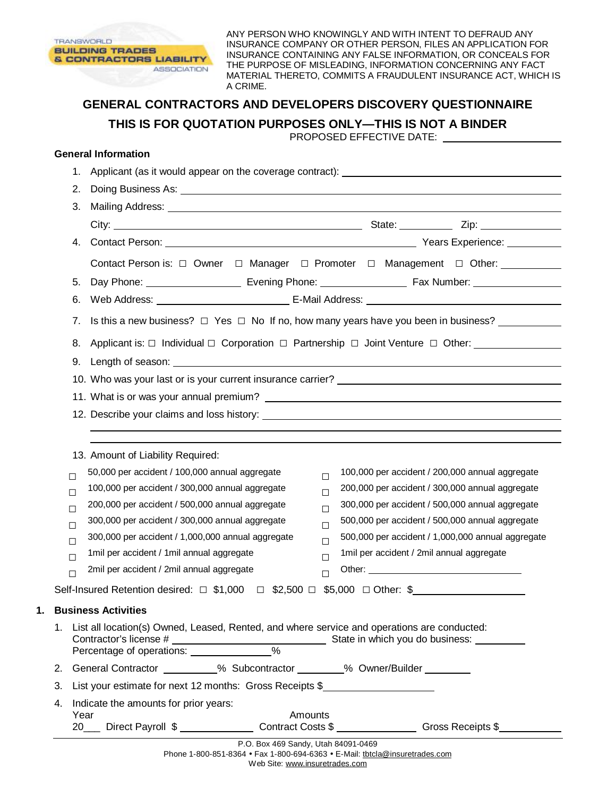

ANY PERSON WHO KNOWINGLY AND WITH INTENT TO DEFRAUD ANY INSURANCE COMPANY OR OTHER PERSON, FILES AN APPLICATION FOR INSURANCE CONTAINING ANY FALSE INFORMATION, OR CONCEALS FOR THE PURPOSE OF MISLEADING, INFORMATION CONCERNING ANY FACT MATERIAL THERETO, COMMITS A FRAUDULENT INSURANCE ACT, WHICH IS A CRIME.

# **GENERAL CONTRACTORS AND DEVELOPERS DISCOVERY QUESTIONNAIRE THIS IS FOR QUOTATION PURPOSES ONLY—THIS IS NOT A BINDER**

PROPOSED EFFECTIVE DATE:

#### **General Information**

|                                                                                                                        |                  | 1.   |                                                                                                                                                                                                                                |                  |                                                   |  |  |
|------------------------------------------------------------------------------------------------------------------------|------------------|------|--------------------------------------------------------------------------------------------------------------------------------------------------------------------------------------------------------------------------------|------------------|---------------------------------------------------|--|--|
|                                                                                                                        |                  | 2.   |                                                                                                                                                                                                                                |                  |                                                   |  |  |
|                                                                                                                        |                  | 3.   | Mailing Address: National Address: National Address: National Address: National Address: National Address: National Address: National Address: National Address: National Address: National Address: National Address: Nationa |                  |                                                   |  |  |
|                                                                                                                        |                  |      |                                                                                                                                                                                                                                |                  |                                                   |  |  |
|                                                                                                                        |                  |      |                                                                                                                                                                                                                                |                  |                                                   |  |  |
|                                                                                                                        |                  |      | Contact Person is: □ Owner □ Manager □ Promoter □ Management □ Other: __________                                                                                                                                               |                  |                                                   |  |  |
|                                                                                                                        |                  | 5.   |                                                                                                                                                                                                                                |                  |                                                   |  |  |
|                                                                                                                        |                  | 6.   |                                                                                                                                                                                                                                |                  |                                                   |  |  |
|                                                                                                                        |                  | 7.   | Is this a new business? $\Box$ Yes $\Box$ No If no, how many years have you been in business?                                                                                                                                  |                  |                                                   |  |  |
|                                                                                                                        |                  | 8.   | Applicant is: $\Box$ Individual $\Box$ Corporation $\Box$ Partnership $\Box$ Joint Venture $\Box$ Other:                                                                                                                       |                  |                                                   |  |  |
|                                                                                                                        |                  | 9.   |                                                                                                                                                                                                                                |                  |                                                   |  |  |
|                                                                                                                        |                  |      |                                                                                                                                                                                                                                |                  |                                                   |  |  |
|                                                                                                                        |                  |      |                                                                                                                                                                                                                                |                  |                                                   |  |  |
|                                                                                                                        |                  |      |                                                                                                                                                                                                                                |                  |                                                   |  |  |
|                                                                                                                        |                  |      |                                                                                                                                                                                                                                |                  |                                                   |  |  |
|                                                                                                                        |                  |      | 13. Amount of Liability Required:                                                                                                                                                                                              |                  |                                                   |  |  |
|                                                                                                                        |                  |      | 50,000 per accident / 100,000 annual aggregate                                                                                                                                                                                 |                  | 100,000 per accident / 200,000 annual aggregate   |  |  |
|                                                                                                                        | $\Box$           |      | 100,000 per accident / 300,000 annual aggregate                                                                                                                                                                                | $\Box$<br>$\Box$ | 200,000 per accident / 300,000 annual aggregate   |  |  |
|                                                                                                                        | $\Box$<br>$\Box$ |      | 200,000 per accident / 500,000 annual aggregate                                                                                                                                                                                | П                | 300,000 per accident / 500,000 annual aggregate   |  |  |
|                                                                                                                        | $\Box$           |      | 300,000 per accident / 300,000 annual aggregate                                                                                                                                                                                | $\Box$           | 500,000 per accident / 500,000 annual aggregate   |  |  |
|                                                                                                                        | $\Box$           |      | 300,000 per accident / 1,000,000 annual aggregate                                                                                                                                                                              | $\Box$           | 500,000 per accident / 1,000,000 annual aggregate |  |  |
|                                                                                                                        | $\Box$           |      | 1mil per accident / 1mil annual aggregate                                                                                                                                                                                      | $\Box$           | 1mil per accident / 2mil annual aggregate         |  |  |
|                                                                                                                        | $\Box$           |      | 2mil per accident / 2mil annual aggregate                                                                                                                                                                                      | П                |                                                   |  |  |
|                                                                                                                        |                  |      | Self-Insured Retention desired: $\Box$ \$1,000 $\Box$ \$2,500 $\Box$                                                                                                                                                           |                  | $$5,000$ $\Box$ Other: \$                         |  |  |
|                                                                                                                        |                  |      | <b>Business Activities</b>                                                                                                                                                                                                     |                  |                                                   |  |  |
| 1. List all location(s) Owned, Leased, Rented, and where service and operations are conducted:                         |                  |      |                                                                                                                                                                                                                                |                  |                                                   |  |  |
|                                                                                                                        |                  |      | Contractor's license #<br>Percentage of operations: ______________% State in which you do business: ______________________%                                                                                                    |                  |                                                   |  |  |
|                                                                                                                        |                  |      | 2. General Contractor _________% Subcontractor ________% Owner/Builder ________                                                                                                                                                |                  |                                                   |  |  |
|                                                                                                                        | 3.               |      | List your estimate for next 12 months: Gross Receipts \$                                                                                                                                                                       |                  |                                                   |  |  |
|                                                                                                                        | 4.               |      | Indicate the amounts for prior years:                                                                                                                                                                                          |                  |                                                   |  |  |
|                                                                                                                        |                  | Year | Amounts<br>20___ Direct Payroll \$________________Contract Costs \$_______________Gross Receipts \$______________                                                                                                              |                  |                                                   |  |  |
| $D \cap D_{0}$ $U_{0}$ $A_{0}$ $C_{0}$ $D_{1}$ $U_{1}$ $U_{2}$ $D_{2}$ $A_{1}$ $D_{2}$ $A_{1}$ $D_{2}$ $A_{2}$ $D_{3}$ |                  |      |                                                                                                                                                                                                                                |                  |                                                   |  |  |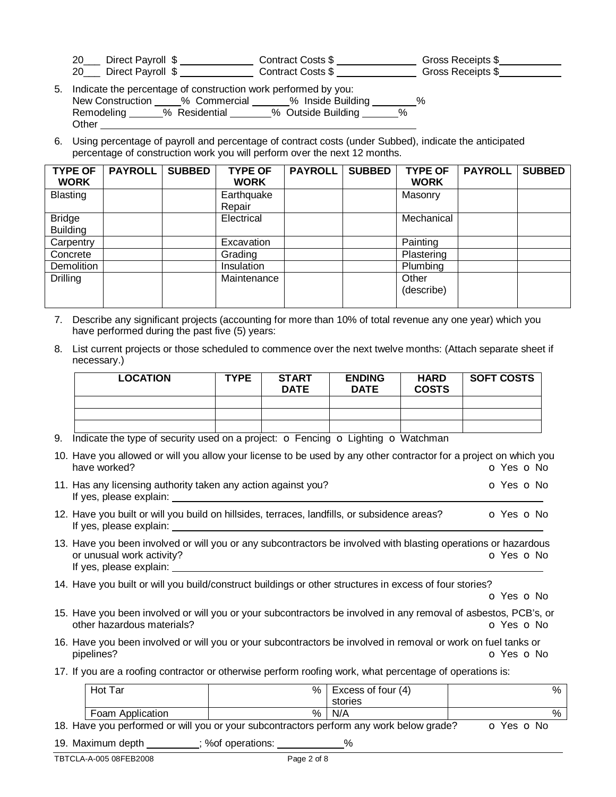| 20  | _ Direct Payroll \$ | Contract Costs \$ | Gross Receipts \$ |
|-----|---------------------|-------------------|-------------------|
| -20 | Direct Payroll \$   | Contract Costs \$ | Gross Receipts \$ |

| 5. Indicate the percentage of construction work performed by you: |               |                    |   |  |  |  |
|-------------------------------------------------------------------|---------------|--------------------|---|--|--|--|
| New Construction                                                  | % Commercial  | % Inside Building  | ℅ |  |  |  |
| Remodeling                                                        | % Residential | % Outside Building | % |  |  |  |
| Other                                                             |               |                    |   |  |  |  |

6. Using percentage of payroll and percentage of contract costs (under Subbed), indicate the anticipated percentage of construction work you will perform over the next 12 months.

| <b>TYPE OF</b><br><b>WORK</b>    | <b>PAYROLL</b> | <b>SUBBED</b> | <b>TYPE OF</b><br><b>WORK</b> | <b>PAYROLL</b> | <b>SUBBED</b> | <b>TYPE OF</b><br><b>WORK</b> | <b>PAYROLL</b> | <b>SUBBED</b> |
|----------------------------------|----------------|---------------|-------------------------------|----------------|---------------|-------------------------------|----------------|---------------|
| <b>Blasting</b>                  |                |               | Earthquake<br>Repair          |                |               | Masonry                       |                |               |
| <b>Bridge</b><br><b>Building</b> |                |               | Electrical                    |                |               | Mechanical                    |                |               |
| Carpentry                        |                |               | Excavation                    |                |               | Painting                      |                |               |
| Concrete                         |                |               | Grading                       |                |               | Plastering                    |                |               |
| Demolition                       |                |               | <b>Insulation</b>             |                |               | Plumbing                      |                |               |
| Drilling                         |                |               | Maintenance                   |                |               | Other<br>(describe)           |                |               |

- 7. Describe any significant projects (accounting for more than 10% of total revenue any one year) which you have performed during the past five (5) years:
- 8. List current projects or those scheduled to commence over the next twelve months: (Attach separate sheet if necessary.)

| <b>LOCATION</b> | <b>TYPE</b> | <b>START</b><br><b>DATE</b> | <b>ENDING</b><br><b>DATE</b> | <b>HARD</b><br><b>COSTS</b> | <b>SOFT COSTS</b> |
|-----------------|-------------|-----------------------------|------------------------------|-----------------------------|-------------------|
|                 |             |                             |                              |                             |                   |
|                 |             |                             |                              |                             |                   |
|                 |             |                             |                              |                             |                   |

- 9. Indicate the type of security used on a project:  $\sigma$  Fencing  $\sigma$  Lighting  $\sigma$  Watchman
- 10. Have you allowed or will you allow your license to be used by any other contractor for a project on which you have worked? **blue of the Contract Contract Contract Contract Contract Contract Contract Contract Contract Contract Contract Contract Contract Contract Contract Contract Contract Contract Contract Contract Contract Contra** 11. Has any licensing authority taken any action against you? **O Yes O No** Yes **O No** If yes, please explain: 12. Have you built or will you build on hillsides, terraces, landfills, or subsidence areas? **o** Yes **o** No If yes, please explain:
- 13. Have you been involved or will you or any subcontractors be involved with blasting operations or hazardous or unusual work activity? The Contraction of the Contraction of Vester of No. 2012. If yes, please explain:
- 14. Have you built or will you build/construct buildings or other structures in excess of four stories?

o Yes o No

- 15. Have you been involved or will you or your subcontractors be involved in any removal of asbestos, PCB's, or other hazardous materials? Can be a set of the contract of the contract of the contract of the contract of the contract of the contract of the contract of the contract of the contract of the contract of the contract of the
- 16. Have you been involved or will you or your subcontractors be involved in removal or work on fuel tanks or<br> **O Yes O N** pipelines? o Yes o No
- 17. If you are a roofing contractor or otherwise perform roofing work, what percentage of operations is:

| Hot Tar          | % | Excess of four (4) | % |
|------------------|---|--------------------|---|
|                  |   | stories            |   |
| Foam Application | % | N/A                | % |

18. Have you performed or will you or your subcontractors perform any work below grade? **o** Yes **o** No

19. Maximum depth : %of operations:  $\%$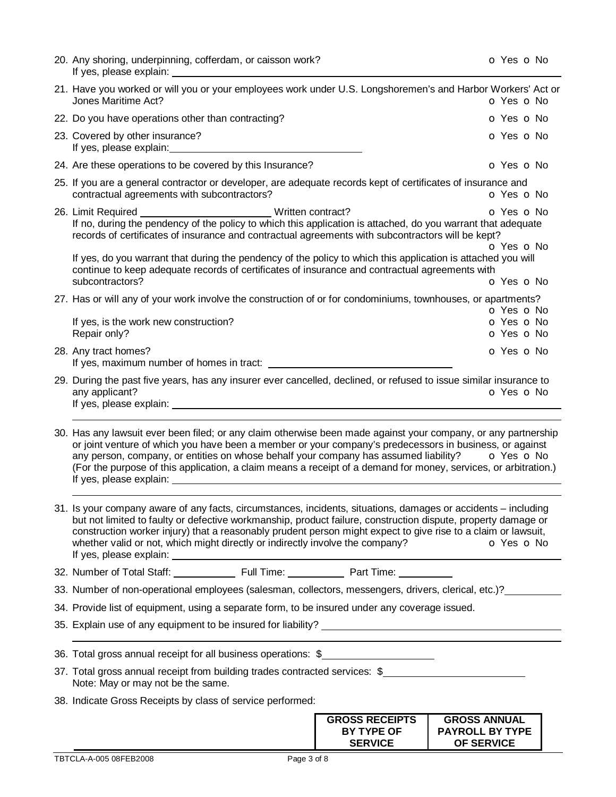| 20. Any shoring, underpinning, cofferdam, or caisson work?                                                                                                                                                                                                                                                                                                                                                                                                      |                                                              | O Yes O No                                                         |
|-----------------------------------------------------------------------------------------------------------------------------------------------------------------------------------------------------------------------------------------------------------------------------------------------------------------------------------------------------------------------------------------------------------------------------------------------------------------|--------------------------------------------------------------|--------------------------------------------------------------------|
| 21. Have you worked or will you or your employees work under U.S. Longshoremen's and Harbor Workers' Act or<br>Jones Maritime Act?                                                                                                                                                                                                                                                                                                                              |                                                              | O Yes O No                                                         |
| 22. Do you have operations other than contracting?                                                                                                                                                                                                                                                                                                                                                                                                              |                                                              | O Yes O No                                                         |
| 23. Covered by other insurance?                                                                                                                                                                                                                                                                                                                                                                                                                                 |                                                              | <b>O</b> Yes <b>O</b> No                                           |
| 24. Are these operations to be covered by this Insurance?                                                                                                                                                                                                                                                                                                                                                                                                       |                                                              | O Yes O No                                                         |
| 25. If you are a general contractor or developer, are adequate records kept of certificates of insurance and<br>contractual agreements with subcontractors?                                                                                                                                                                                                                                                                                                     |                                                              | <b>o</b> Yes <b>o</b> No                                           |
| 26. Limit Required ________________________________Written contract?<br>If no, during the pendency of the policy to which this application is attached, do you warrant that adequate<br>records of certificates of insurance and contractual agreements with subcontractors will be kept?                                                                                                                                                                       |                                                              | o Yes o No<br>O Yes O No                                           |
| If yes, do you warrant that during the pendency of the policy to which this application is attached you will<br>continue to keep adequate records of certificates of insurance and contractual agreements with<br>subcontractors?                                                                                                                                                                                                                               |                                                              | O Yes O No                                                         |
| 27. Has or will any of your work involve the construction of or for condominiums, townhouses, or apartments?                                                                                                                                                                                                                                                                                                                                                    |                                                              |                                                                    |
| If yes, is the work new construction?<br>Repair only?                                                                                                                                                                                                                                                                                                                                                                                                           |                                                              | o Yes o No<br>O Yes O No<br>O Yes O No                             |
| 28. Any tract homes?                                                                                                                                                                                                                                                                                                                                                                                                                                            |                                                              | O Yes O No                                                         |
| 29. During the past five years, has any insurer ever cancelled, declined, or refused to issue similar insurance to<br>any applicant?                                                                                                                                                                                                                                                                                                                            |                                                              | O Yes O No                                                         |
| 30. Has any lawsuit ever been filed; or any claim otherwise been made against your company, or any partnership<br>or joint venture of which you have been a member or your company's predecessors in business, or against<br>any person, company, or entities on whose behalf your company has assumed liability? $\bullet$ Yes $\bullet$ No<br>(For the purpose of this application, a claim means a receipt of a demand for money, services, or arbitration.) |                                                              |                                                                    |
| 31. Is your company aware of any facts, circumstances, incidents, situations, damages or accidents – including<br>but not limited to faulty or defective workmanship, product failure, construction dispute, property damage or<br>construction worker injury) that a reasonably prudent person might expect to give rise to a claim or lawsuit,<br>whether valid or not, which might directly or indirectly involve the company?                               |                                                              | O Yes O No                                                         |
|                                                                                                                                                                                                                                                                                                                                                                                                                                                                 |                                                              |                                                                    |
| 33. Number of non-operational employees (salesman, collectors, messengers, drivers, clerical, etc.)?                                                                                                                                                                                                                                                                                                                                                            |                                                              |                                                                    |
| 34. Provide list of equipment, using a separate form, to be insured under any coverage issued.                                                                                                                                                                                                                                                                                                                                                                  |                                                              |                                                                    |
|                                                                                                                                                                                                                                                                                                                                                                                                                                                                 |                                                              |                                                                    |
| 36. Total gross annual receipt for all business operations: \$                                                                                                                                                                                                                                                                                                                                                                                                  |                                                              |                                                                    |
| 37. Total gross annual receipt from building trades contracted services: \$<br>Note: May or may not be the same.                                                                                                                                                                                                                                                                                                                                                |                                                              |                                                                    |
| 38. Indicate Gross Receipts by class of service performed:                                                                                                                                                                                                                                                                                                                                                                                                      |                                                              |                                                                    |
|                                                                                                                                                                                                                                                                                                                                                                                                                                                                 | <b>GROSS RECEIPTS</b><br><b>BY TYPE OF</b><br><b>SERVICE</b> | <b>GROSS ANNUAL</b><br><b>PAYROLL BY TYPE</b><br><b>OF SERVICE</b> |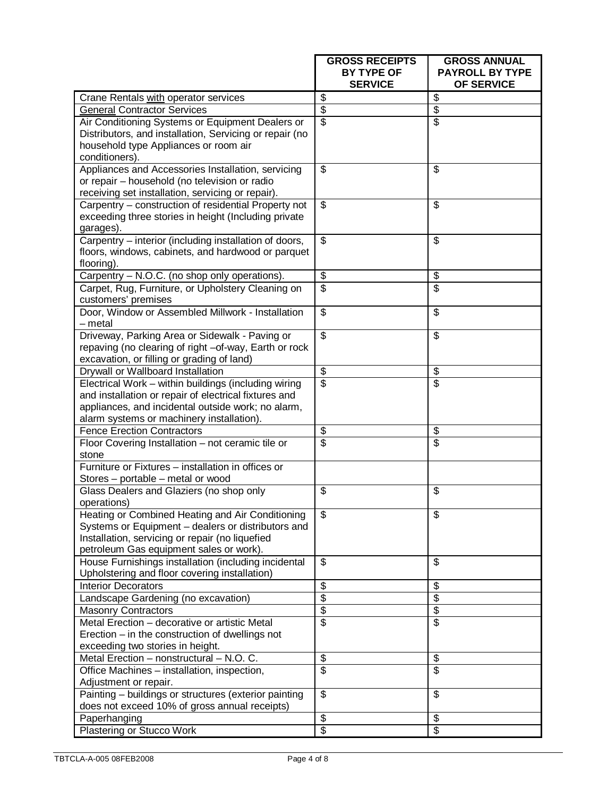|                                                                                                                                                                                                                  | <b>GROSS RECEIPTS</b><br><b>BY TYPE OF</b><br><b>SERVICE</b> | <b>GROSS ANNUAL</b><br><b>PAYROLL BY TYPE</b><br>OF SERVICE |
|------------------------------------------------------------------------------------------------------------------------------------------------------------------------------------------------------------------|--------------------------------------------------------------|-------------------------------------------------------------|
| Crane Rentals with operator services                                                                                                                                                                             | \$                                                           | $\overline{\mathbf{3}}$                                     |
| <b>General Contractor Services</b>                                                                                                                                                                               | \$                                                           | $\overline{\mathcal{S}}$                                    |
| Air Conditioning Systems or Equipment Dealers or<br>Distributors, and installation, Servicing or repair (no<br>household type Appliances or room air                                                             | \$                                                           | $\overline{\$}$                                             |
| conditioners).<br>Appliances and Accessories Installation, servicing<br>or repair - household (no television or radio<br>receiving set installation, servicing or repair).                                       | \$                                                           | \$                                                          |
| Carpentry - construction of residential Property not<br>exceeding three stories in height (Including private<br>garages).                                                                                        | $\overline{\mathbb{S}}$                                      | \$                                                          |
| Carpentry - interior (including installation of doors,<br>floors, windows, cabinets, and hardwood or parquet<br>flooring).                                                                                       | \$                                                           | \$                                                          |
| Carpentry - N.O.C. (no shop only operations).                                                                                                                                                                    | \$                                                           | \$                                                          |
| Carpet, Rug, Furniture, or Upholstery Cleaning on<br>customers' premises                                                                                                                                         | \$                                                           | \$                                                          |
| Door, Window or Assembled Millwork - Installation<br>- metal                                                                                                                                                     | \$                                                           | \$                                                          |
| Driveway, Parking Area or Sidewalk - Paving or<br>repaving (no clearing of right -of-way, Earth or rock<br>excavation, or filling or grading of land)                                                            | $\overline{\mathcal{S}}$                                     | \$                                                          |
| Drywall or Wallboard Installation                                                                                                                                                                                | $\overline{\mathcal{G}}$                                     | \$                                                          |
| Electrical Work - within buildings (including wiring<br>and installation or repair of electrical fixtures and<br>appliances, and incidental outside work; no alarm,<br>alarm systems or machinery installation). | $\overline{\mathbf{s}}$                                      | $\overline{\mathsf{s}}$                                     |
| <b>Fence Erection Contractors</b>                                                                                                                                                                                | \$                                                           | \$                                                          |
| Floor Covering Installation - not ceramic tile or<br>stone                                                                                                                                                       | $\overline{\mathbb{S}}$                                      | $\overline{\mathbf{S}}$                                     |
| Furniture or Fixtures - installation in offices or<br>Stores - portable - metal or wood                                                                                                                          |                                                              |                                                             |
| Glass Dealers and Glaziers (no shop only<br>operations)                                                                                                                                                          | \$                                                           | \$                                                          |
| Heating or Combined Heating and Air Conditioning<br>Systems or Equipment - dealers or distributors and<br>Installation, servicing or repair (no liquefied<br>petroleum Gas equipment sales or work).             | \$                                                           | \$                                                          |
| House Furnishings installation (including incidental<br>Upholstering and floor covering installation)                                                                                                            | $\overline{\mathbb{S}}$                                      | \$                                                          |
| <b>Interior Decorators</b>                                                                                                                                                                                       | \$                                                           | \$                                                          |
| Landscape Gardening (no excavation)                                                                                                                                                                              | $\overline{\$}$                                              | $\overline{\$}$                                             |
| <b>Masonry Contractors</b>                                                                                                                                                                                       | \$                                                           | $\overline{\mathbf{3}}$                                     |
| Metal Erection - decorative or artistic Metal<br>Erection $-$ in the construction of dwellings not<br>exceeding two stories in height.                                                                           | \$                                                           | \$                                                          |
| Metal Erection - nonstructural - N.O. C.                                                                                                                                                                         | \$                                                           | \$                                                          |
| Office Machines - installation, inspection,<br>Adjustment or repair.                                                                                                                                             | $\overline{\mathbb{S}}$                                      | $\overline{\mathcal{E}}$                                    |
| Painting - buildings or structures (exterior painting<br>does not exceed 10% of gross annual receipts)                                                                                                           | \$                                                           | \$                                                          |
| Paperhanging                                                                                                                                                                                                     | \$                                                           | \$                                                          |
| Plastering or Stucco Work                                                                                                                                                                                        | \$                                                           | \$                                                          |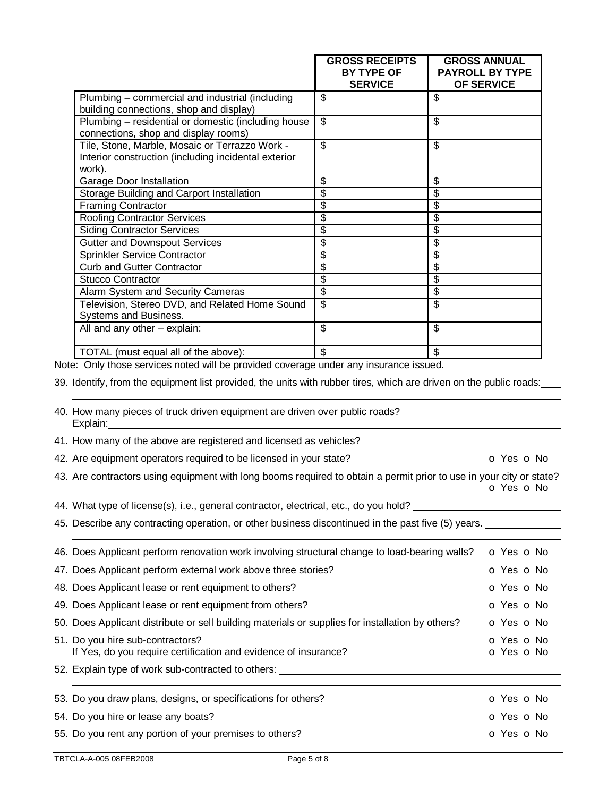|                                                                                                                                                                                                                     | <b>GROSS RECEIPTS</b><br>BY TYPE OF<br><b>SERVICE</b> | <b>GROSS ANNUAL</b><br><b>PAYROLL BY TYPE</b><br><b>OF SERVICE</b> |
|---------------------------------------------------------------------------------------------------------------------------------------------------------------------------------------------------------------------|-------------------------------------------------------|--------------------------------------------------------------------|
| Plumbing – commercial and industrial (including                                                                                                                                                                     | $\overline{\mathcal{S}}$                              | \$                                                                 |
| building connections, shop and display)                                                                                                                                                                             |                                                       |                                                                    |
| Plumbing - residential or domestic (including house<br>connections, shop and display rooms)                                                                                                                         | $\overline{\mathcal{S}}$                              | $\overline{\mathcal{S}}$                                           |
| Tile, Stone, Marble, Mosaic or Terrazzo Work -<br>Interior construction (including incidental exterior<br>work).                                                                                                    | $\overline{\mathcal{E}}$                              | $\overline{\mathcal{S}}$                                           |
| Garage Door Installation                                                                                                                                                                                            | \$                                                    | \$                                                                 |
| Storage Building and Carport Installation                                                                                                                                                                           | \$                                                    | \$                                                                 |
| <b>Framing Contractor</b>                                                                                                                                                                                           | \$                                                    | \$                                                                 |
| <b>Roofing Contractor Services</b>                                                                                                                                                                                  | $\overline{\mathcal{S}}$                              | \$                                                                 |
| <b>Siding Contractor Services</b>                                                                                                                                                                                   | \$                                                    | \$                                                                 |
| <b>Gutter and Downspout Services</b>                                                                                                                                                                                | $\overline{\$}$                                       | \$                                                                 |
| Sprinkler Service Contractor                                                                                                                                                                                        | $\overline{\mathcal{S}}$                              | \$                                                                 |
| <b>Curb and Gutter Contractor</b>                                                                                                                                                                                   | \$                                                    | \$                                                                 |
| <b>Stucco Contractor</b>                                                                                                                                                                                            | $\overline{\mathcal{S}}$                              | $\overline{\$}$                                                    |
| Alarm System and Security Cameras                                                                                                                                                                                   | $\overline{\mathcal{S}}$                              | \$                                                                 |
| Television, Stereo DVD, and Related Home Sound<br>Systems and Business.                                                                                                                                             | $\overline{\mathbf{s}}$                               | \$                                                                 |
| All and any other - explain:                                                                                                                                                                                        | $\overline{\mathcal{S}}$                              | $\overline{\mathcal{S}}$                                           |
| TOTAL (must equal all of the above):                                                                                                                                                                                |                                                       |                                                                    |
| Note: Only those services noted will be provided coverage under any insurance issued.                                                                                                                               |                                                       |                                                                    |
| 39. Identify, from the equipment list provided, the units with rubber tires, which are driven on the public roads:<br>40. How many pieces of truck driven equipment are driven over public roads? _____<br>Explain: |                                                       |                                                                    |
| 41. How many of the above are registered and licensed as vehicles?                                                                                                                                                  |                                                       |                                                                    |
| 42. Are equipment operators required to be licensed in your state?                                                                                                                                                  |                                                       | O Yes O No                                                         |
| 43. Are contractors using equipment with long booms required to obtain a permit prior to use in your city or state?                                                                                                 |                                                       |                                                                    |

o Yes o No

44. What type of license(s), i.e., general contractor, electrical, etc., do you hold? \_\_\_\_\_

45. Describe any contracting operation, or other business discontinued in the past five (5) years. \_\_\_\_\_\_\_\_\_\_\_

| 46. Does Applicant perform renovation work involving structural change to load-bearing walls?       | O Yes O No               |
|-----------------------------------------------------------------------------------------------------|--------------------------|
| 47. Does Applicant perform external work above three stories?                                       | O Yes O No               |
| 48. Does Applicant lease or rent equipment to others?                                               | O Yes O No               |
| 49. Does Applicant lease or rent equipment from others?                                             | o Yes o No               |
| 50. Does Applicant distribute or sell building materials or supplies for installation by others?    | O Yes O No               |
| 51. Do you hire sub-contractors?<br>If Yes, do you require certification and evidence of insurance? | O Yes O No<br>O Yes O No |
| 52. Explain type of work sub-contracted to others:                                                  |                          |
| 53. Do you draw plans, designs, or specifications for others?                                       | O Yes O No               |
| 54. Do you hire or lease any boats?                                                                 | O Yes O No               |
| 55. Do you rent any portion of your premises to others?                                             | o Yes o No               |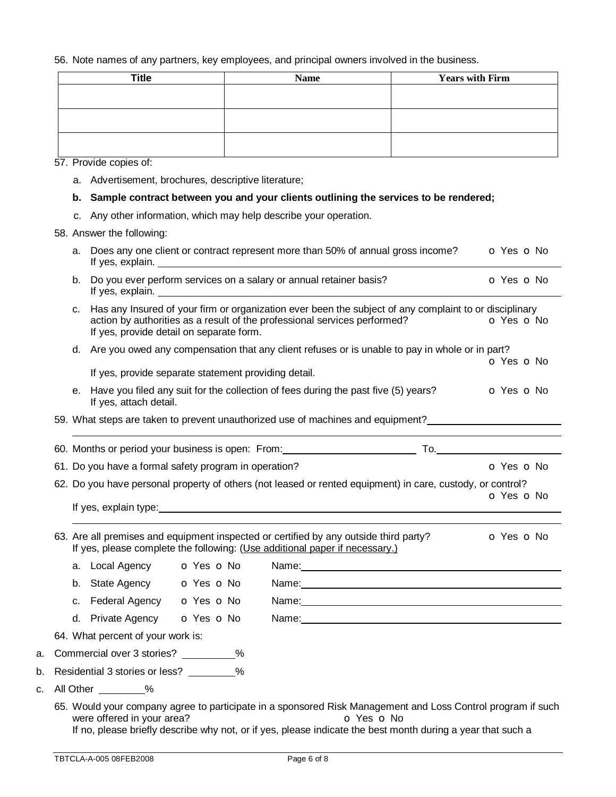## 56. Note names of any partners, key employees, and principal owners involved in the business.

| <b>Title</b> | <b>Name</b> | <b>Years with Firm</b> |
|--------------|-------------|------------------------|
|              |             |                        |
|              |             |                        |
|              |             |                        |
|              |             |                        |
|              |             |                        |
|              |             |                        |

57. Provide copies of:

a. Advertisement, brochures, descriptive literature;

## **b. Sample contract between you and your clients outlining the services to be rendered;**

c. Any other information, which may help describe your operation.

## 58. Answer the following:

|    | a. | If yes, explain.                                      | <u> 1980 - Jan Stein Stein Stein Stein Stein Stein Stein Stein Stein Stein Stein Stein Stein Stein Stein Stein S</u> | Does any one client or contract represent more than 50% of annual gross income?                                                                                                                                                                                                                                                                   | o Yes o No     |  |  |
|----|----|-------------------------------------------------------|----------------------------------------------------------------------------------------------------------------------|---------------------------------------------------------------------------------------------------------------------------------------------------------------------------------------------------------------------------------------------------------------------------------------------------------------------------------------------------|----------------|--|--|
|    | b. |                                                       |                                                                                                                      | Do you ever perform services on a salary or annual retainer basis?                                                                                                                                                                                                                                                                                | O Yes O No     |  |  |
|    | C. |                                                       | If yes, provide detail on separate form.                                                                             | Has any Insured of your firm or organization ever been the subject of any complaint to or disciplinary<br>action by authorities as a result of the professional services performed?                                                                                                                                                               | O Yes O No     |  |  |
|    |    |                                                       |                                                                                                                      | d. Are you owed any compensation that any client refuses or is unable to pay in whole or in part?                                                                                                                                                                                                                                                 |                |  |  |
|    |    |                                                       | If yes, provide separate statement providing detail.                                                                 |                                                                                                                                                                                                                                                                                                                                                   | O Yes O No     |  |  |
|    |    | If yes, attach detail.                                |                                                                                                                      | e. Have you filed any suit for the collection of fees during the past five (5) years?                                                                                                                                                                                                                                                             | O Yes O No     |  |  |
|    |    |                                                       |                                                                                                                      | 59. What steps are taken to prevent unauthorized use of machines and equipment?                                                                                                                                                                                                                                                                   |                |  |  |
|    |    |                                                       |                                                                                                                      |                                                                                                                                                                                                                                                                                                                                                   |                |  |  |
|    |    |                                                       |                                                                                                                      |                                                                                                                                                                                                                                                                                                                                                   | O Yes O No     |  |  |
|    |    | 61. Do you have a formal safety program in operation? |                                                                                                                      |                                                                                                                                                                                                                                                                                                                                                   |                |  |  |
|    |    |                                                       |                                                                                                                      | 62. Do you have personal property of others (not leased or rented equipment) in care, custody, or control?<br>If yes, explain type: <b>Example 2018</b> and 2019 and 2019 and 2019 and 2019 and 2019 and 2019 and 2019 and 2019 and 2019 and 2019 and 2019 and 2019 and 2019 and 2019 and 2019 and 2019 and 2019 and 2019 and 2019 and 2019 and 2 | O Yes O No     |  |  |
|    |    |                                                       |                                                                                                                      | 63. Are all premises and equipment inspected or certified by any outside third party?<br>If yes, please complete the following: (Use additional paper if necessary.)                                                                                                                                                                              | $O$ Yes $O$ No |  |  |
|    |    | a. Local Agency <b>o</b> Yes <b>o</b> No              |                                                                                                                      |                                                                                                                                                                                                                                                                                                                                                   |                |  |  |
|    |    | b. State Agency <b>o</b> Yes <b>o</b> No              |                                                                                                                      | Name: 2008 2010 2020 2020 2020 2021 2021 2022 2021 2022 2021 2022 2022 2022 2022 2021 2022 2022 2022 2021 2022                                                                                                                                                                                                                                    |                |  |  |
|    |    | c. Federal Agency o Yes o No                          |                                                                                                                      |                                                                                                                                                                                                                                                                                                                                                   |                |  |  |
|    |    | d. Private Agency <b>o</b> Yes <b>o</b> No            |                                                                                                                      | Name: We have a state of the state of the state of the state of the state of the state of the state of the state of the state of the state of the state of the state of the state of the state of the state of the state of th                                                                                                                    |                |  |  |
|    |    | 64. What percent of your work is:                     |                                                                                                                      |                                                                                                                                                                                                                                                                                                                                                   |                |  |  |
| a. |    | Commercial over 3 stories? __________%                |                                                                                                                      |                                                                                                                                                                                                                                                                                                                                                   |                |  |  |
| b. |    | Residential 3 stories or less? ________%              |                                                                                                                      |                                                                                                                                                                                                                                                                                                                                                   |                |  |  |
| C. |    | All Other ________%                                   |                                                                                                                      |                                                                                                                                                                                                                                                                                                                                                   |                |  |  |
|    |    | were offered in your area?                            |                                                                                                                      | 65. Would your company agree to participate in a sponsored Risk Management and Loss Control program if such<br>O Yes O No<br>If no, please briefly describe why not, or if yes, please indicate the best month during a year that such a                                                                                                          |                |  |  |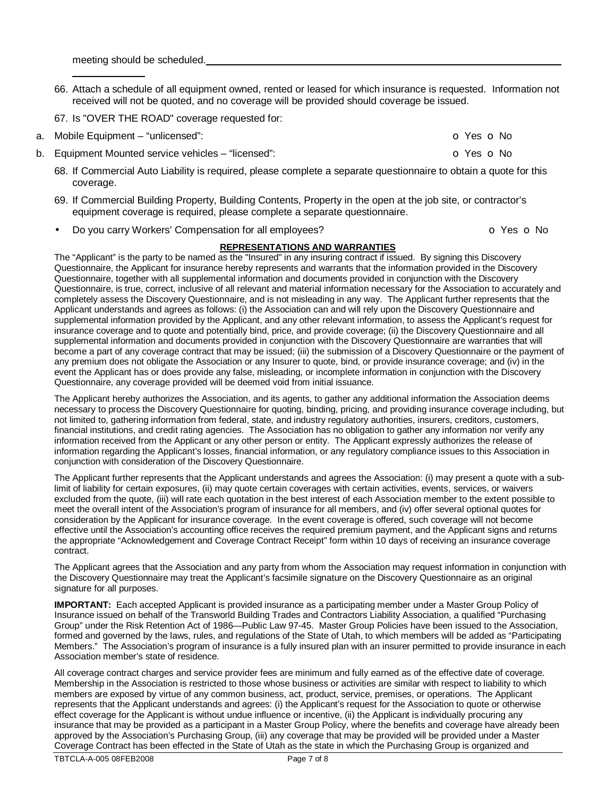meeting should be scheduled.

- 66. Attach a schedule of all equipment owned, rented or leased for which insurance is requested. Information not received will not be quoted, and no coverage will be provided should coverage be issued.
- 67. Is "OVER THE ROAD" coverage requested for:
- a. Mobile Equipment "unlicensed": can be a set of the set of the set of the set of the set of the set of No
- b. Equipment Mounted service vehicles "licensed": **o Yes o No Communist Communist Communist Communist Communist Communist Communist Communist Communist Communist Communist Communist Communist Communist Communist Communis** 
	- 68. If Commercial Auto Liability is required, please complete a separate questionnaire to obtain a quote for this coverage.
	- 69. If Commercial Building Property, Building Contents, Property in the open at the job site, or contractor's equipment coverage is required, please complete a separate questionnaire.
	- **Do you carry Workers' Compensation for all employees? comparison in the COV** of Yes **o** No

#### **REPRESENTATIONS AND WARRANTIES**

The "Applicant" is the party to be named as the "Insured" in any insuring contract if issued. By signing this Discovery Questionnaire, the Applicant for insurance hereby represents and warrants that the information provided in the Discovery Questionnaire, together with all supplemental information and documents provided in conjunction with the Discovery Questionnaire, is true, correct, inclusive of all relevant and material information necessary for the Association to accurately and completely assess the Discovery Questionnaire, and is not misleading in any way. The Applicant further represents that the Applicant understands and agrees as follows: (i) the Association can and will rely upon the Discovery Questionnaire and supplemental information provided by the Applicant, and any other relevant information, to assess the Applicant's request for insurance coverage and to quote and potentially bind, price, and provide coverage; (ii) the Discovery Questionnaire and all supplemental information and documents provided in conjunction with the Discovery Questionnaire are warranties that will become a part of any coverage contract that may be issued; (iii) the submission of a Discovery Questionnaire or the payment of any premium does not obligate the Association or any Insurer to quote, bind, or provide insurance coverage; and (iv) in the event the Applicant has or does provide any false, misleading, or incomplete information in conjunction with the Discovery Questionnaire, any coverage provided will be deemed void from initial issuance.

The Applicant hereby authorizes the Association, and its agents, to gather any additional information the Association deems necessary to process the Discovery Questionnaire for quoting, binding, pricing, and providing insurance coverage including, but not limited to, gathering information from federal, state, and industry regulatory authorities, insurers, creditors, customers, financial institutions, and credit rating agencies. The Association has no obligation to gather any information nor verify any information received from the Applicant or any other person or entity. The Applicant expressly authorizes the release of information regarding the Applicant's losses, financial information, or any regulatory compliance issues to this Association in conjunction with consideration of the Discovery Questionnaire.

The Applicant further represents that the Applicant understands and agrees the Association: (i) may present a quote with a sublimit of liability for certain exposures, (ii) may quote certain coverages with certain activities, events, services, or waivers excluded from the quote, (iii) will rate each quotation in the best interest of each Association member to the extent possible to meet the overall intent of the Association's program of insurance for all members, and (iv) offer several optional quotes for consideration by the Applicant for insurance coverage. In the event coverage is offered, such coverage will not become effective until the Association's accounting office receives the required premium payment, and the Applicant signs and returns the appropriate "Acknowledgement and Coverage Contract Receipt" form within 10 days of receiving an insurance coverage contract.

The Applicant agrees that the Association and any party from whom the Association may request information in conjunction with the Discovery Questionnaire may treat the Applicant's facsimile signature on the Discovery Questionnaire as an original signature for all purposes.

**IMPORTANT:** Each accepted Applicant is provided insurance as a participating member under a Master Group Policy of Insurance issued on behalf of the Transworld Building Trades and Contractors Liability Association, a qualified "Purchasing Group" under the Risk Retention Act of 1986—Public Law 97-45. Master Group Policies have been issued to the Association, formed and governed by the laws, rules, and regulations of the State of Utah, to which members will be added as "Participating Members." The Association's program of insurance is a fully insured plan with an insurer permitted to provide insurance in each Association member's state of residence.

All coverage contract charges and service provider fees are minimum and fully earned as of the effective date of coverage. Membership in the Association is restricted to those whose business or activities are similar with respect to liability to which members are exposed by virtue of any common business, act, product, service, premises, or operations. The Applicant represents that the Applicant understands and agrees: (i) the Applicant's request for the Association to quote or otherwise effect coverage for the Applicant is without undue influence or incentive, (ii) the Applicant is individually procuring any insurance that may be provided as a participant in a Master Group Policy, where the benefits and coverage have already been approved by the Association's Purchasing Group, (iii) any coverage that may be provided will be provided under a Master Coverage Contract has been effected in the State of Utah as the state in which the Purchasing Group is organized and